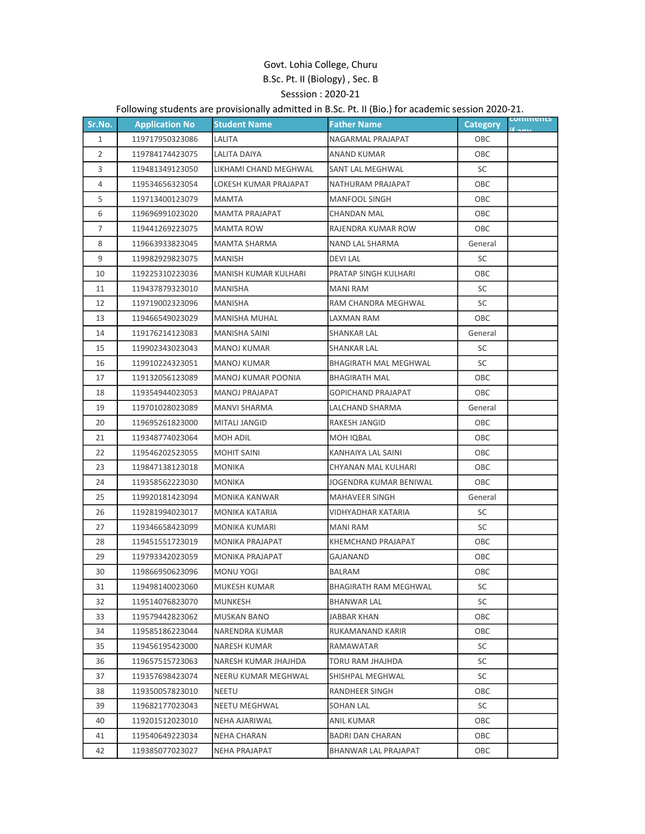## Govt. Lohia College, Churu B.Sc. Pt. II (Biology) , Sec. B Sesssion : 2020-21

## Following students are provisionally admitted in B.Sc. Pt. II (Bio.) for academic session 2020-21.

| Sr.No.         | <b>Application No</b> | <b>Student Name</b>    | <b>Father Name</b>           | <b>Category</b> | comments |
|----------------|-----------------------|------------------------|------------------------------|-----------------|----------|
| $\mathbf{1}$   | 119717950323086       | LALITA                 | NAGARMAL PRAJAPAT            | OBC             |          |
| 2              | 119784174423075       | LALITA DAIYA           | ANAND KUMAR                  | OBC             |          |
| 3              | 119481349123050       | LIKHAMI CHAND MEGHWAL  | <b>SANT LAL MEGHWAL</b>      | SC              |          |
| 4              | 119534656323054       | LOKESH KUMAR PRAJAPAT  | NATHURAM PRAJAPAT            | OBC             |          |
| 5              | 119713400123079       | MAMTA                  | <b>MANFOOL SINGH</b>         | OBC             |          |
| 6              | 119696991023020       | <b>MAMTA PRAJAPAT</b>  | CHANDAN MAL                  | OBC             |          |
| $\overline{7}$ | 119441269223075       | <b>MAMTA ROW</b>       | RAJENDRA KUMAR ROW           | OBC             |          |
| 8              | 119663933823045       | <b>MAMTA SHARMA</b>    | NAND LAL SHARMA              | General         |          |
| 9              | 119982929823075       | <b>MANISH</b>          | <b>DEVILAL</b>               | SC              |          |
| 10             | 119225310223036       | MANISH KUMAR KULHARI   | PRATAP SINGH KULHARI         | OBC             |          |
| 11             | 119437879323010       | MANISHA                | MANI RAM                     | SC              |          |
| 12             | 119719002323096       | MANISHA                | RAM CHANDRA MEGHWAL          | SC              |          |
| 13             | 119466549023029       | <b>MANISHA MUHAL</b>   | LAXMAN RAM                   | OBC             |          |
| 14             | 119176214123083       | <b>MANISHA SAINI</b>   | <b>SHANKAR LAL</b>           | General         |          |
| 15             | 119902343023043       | MANOJ KUMAR            | <b>SHANKAR LAL</b>           | SC              |          |
| 16             | 119910224323051       | <b>MANOJ KUMAR</b>     | <b>BHAGIRATH MAL MEGHWAL</b> | SC              |          |
| 17             | 119132056123089       | MANOJ KUMAR POONIA     | <b>BHAGIRATH MAL</b>         | OBC             |          |
| 18             | 119354944023053       | <b>MANOJ PRAJAPAT</b>  | <b>GOPICHAND PRAJAPAT</b>    | OBC             |          |
| 19             | 119701028023089       | MANVI SHARMA           | LALCHAND SHARMA              | General         |          |
| 20             | 119695261823000       | <b>MITALI JANGID</b>   | RAKESH JANGID                | OBC             |          |
| 21             | 119348774023064       | MOH ADIL               | MOH IQBAL                    | OBC             |          |
| 22             | 119546202523055       | <b>MOHIT SAINI</b>     | KANHAIYA LAL SAINI           | OBC             |          |
| 23             | 119847138123018       | <b>MONIKA</b>          | CHYANAN MAL KULHARI          | OBC             |          |
| 24             | 119358562223030       | MONIKA                 | JOGENDRA KUMAR BENIWAL       | OBC             |          |
| 25             | 119920181423094       | <b>MONIKA KANWAR</b>   | MAHAVEER SINGH               | General         |          |
| 26             | 119281994023017       | MONIKA KATARIA         | VIDHYADHAR KATARIA           | SC              |          |
| 27             | 119346658423099       | MONIKA KUMARI          | <b>MANI RAM</b>              | SC              |          |
| 28             | 119451551723019       | <b>MONIKA PRAJAPAT</b> | <b>KHEMCHAND PRAJAPAT</b>    | OBC             |          |
| 29             | 119793342023059       | MONIKA PRAJAPAT        | GAJANAND                     | OBC             |          |
| 30             | 119866950623096       | <b>MONU YOGI</b>       | <b>BALRAM</b>                | ОВС             |          |
| 31             | 119498140023060       | MUKESH KUMAR           | <b>BHAGIRATH RAM MEGHWAL</b> | SC              |          |
| 32             | 119514076823070       | MUNKESH                | BHANWAR LAL                  | SC              |          |
| 33             | 119579442823062       | MUSKAN BANO            | JABBAR KHAN                  | OBC             |          |
| 34             | 119585186223044       | NARENDRA KUMAR         | RUKAMANAND KARIR             | ОВС             |          |
| 35             | 119456195423000       | NARESH KUMAR           | RAMAWATAR                    | SC              |          |
| 36             | 119657515723063       | NARESH KUMAR JHAJHDA   | TORU RAM JHAJHDA             | SC              |          |
| 37             | 119357698423074       | NEERU KUMAR MEGHWAL    | SHISHPAL MEGHWAL             | SC              |          |
| 38             | 119350057823010       | NEETU                  | RANDHEER SINGH               | ОВС             |          |
| 39             | 119682177023043       | NEETU MEGHWAL          | SOHAN LAL                    | SC              |          |
| 40             | 119201512023010       | NEHA AJARIWAL          | ANIL KUMAR                   | OBC             |          |
| 41             | 119540649223034       | NEHA CHARAN            | BADRI DAN CHARAN             | OBC             |          |
| 42             | 119385077023027       | NEHA PRAJAPAT          | BHANWAR LAL PRAJAPAT         | OBC             |          |